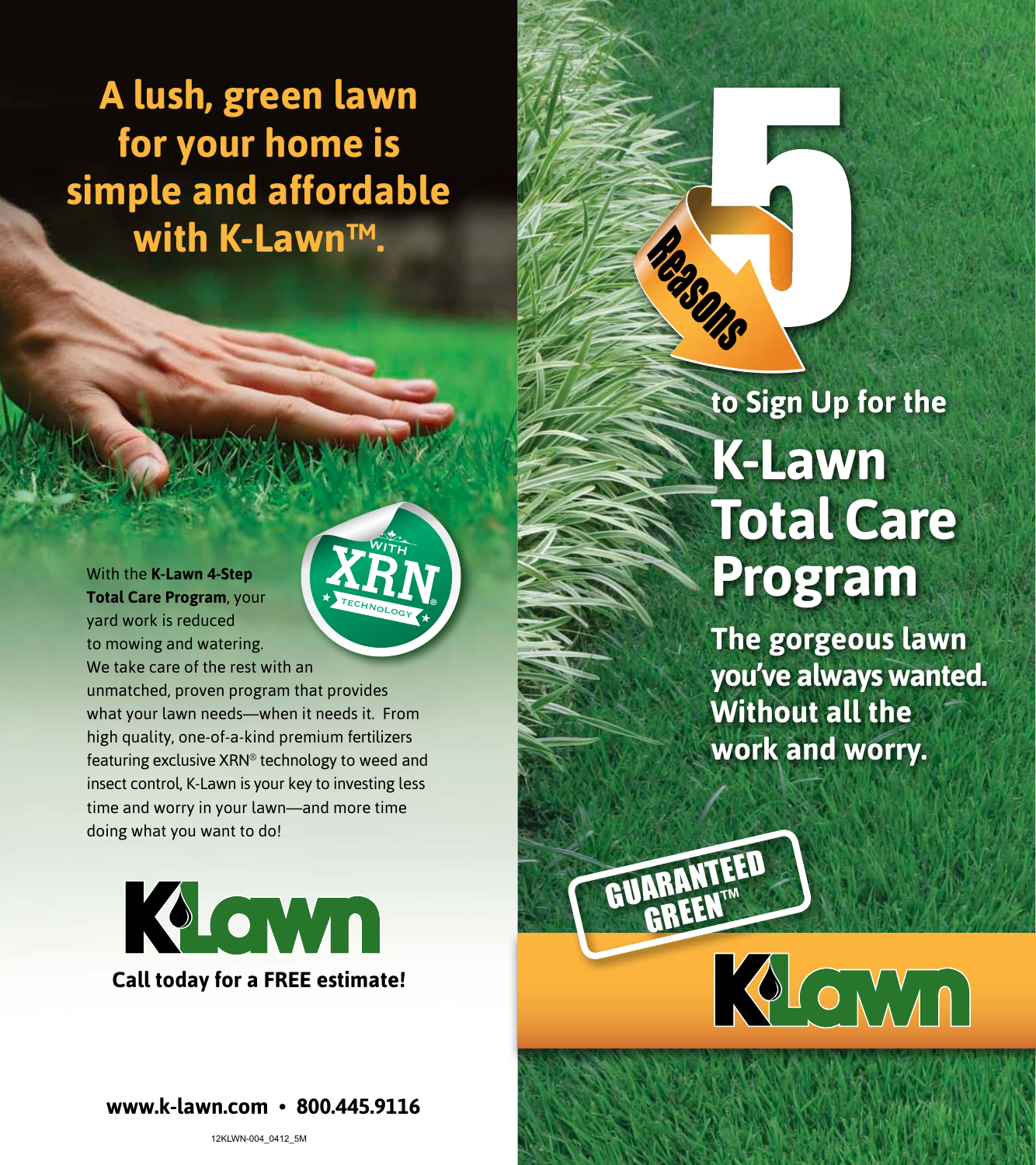**A lush, green lawn for your home is simple and affordable with K-Lawn™.** 

With the  **K-Lawn 4-Step Total Care Program** yard work is reduced to mowing and watering. We take care of the rest with an

unmatched, proven program that provides what your lawn needs—when it needs it. From high quality, one-of-a-kind premium fertilizers featuring exclusive XRN® technology to weed and insect control, K-Lawn is your key to investing less time and worry in your lawn—and more time doing what you want to do!

**WITH** 

TECHNOLOGY

KLOWN **Call today for a FREE estimate!**

**www.k-lawn.com • 800.445.9116**

## **to Sign Up for the K-Lawn Total Care**  Program

**The gorgeous lawn you've always wanted. Without all the work and worry.**

MOMM

GUARANTEED GREEN™

Reasons